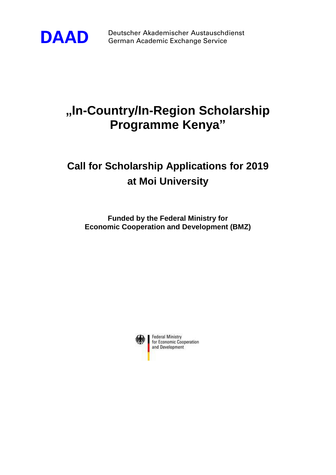

**DAAD** Deutscher Akademischer Austauschdienst<br>German Academic Exchange Service German Academic Exchange Service

## **"In-Country/In-Region Scholarship Programme Kenya"**

## **Call for Scholarship Applications for 2019 at Moi University**

**Funded by the Federal Ministry for Economic Cooperation and Development (BMZ)**

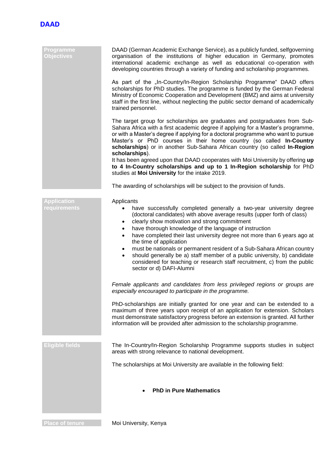

| Programme<br><b>Objectives</b>     | DAAD (German Academic Exchange Service), as a publicly funded, selfgoverning<br>organisation of the institutions of higher education in Germany, promotes<br>international academic exchange as well as educational co-operation with<br>developing countries through a variety of funding and scholarship programmes.                                                                                                                                                                                                                                                                                                                                                                                                                                                                                                                                                                                                               |
|------------------------------------|--------------------------------------------------------------------------------------------------------------------------------------------------------------------------------------------------------------------------------------------------------------------------------------------------------------------------------------------------------------------------------------------------------------------------------------------------------------------------------------------------------------------------------------------------------------------------------------------------------------------------------------------------------------------------------------------------------------------------------------------------------------------------------------------------------------------------------------------------------------------------------------------------------------------------------------|
|                                    | As part of the "In-Country/In-Region Scholarship Programme" DAAD offers<br>scholarships for PhD studies. The programme is funded by the German Federal<br>Ministry of Economic Cooperation and Development (BMZ) and aims at university<br>staff in the first line, without neglecting the public sector demand of academically<br>trained personnel.                                                                                                                                                                                                                                                                                                                                                                                                                                                                                                                                                                                |
|                                    | The target group for scholarships are graduates and postgraduates from Sub-<br>Sahara Africa with a first academic degree if applying for a Master's programme,<br>or with a Master's degree if applying for a doctoral programme who want to pursue<br>Master's or PhD courses in their home country (so called In-Country<br>scholarships) or in another Sub-Sahara African country (so called In-Region<br>scholarships).                                                                                                                                                                                                                                                                                                                                                                                                                                                                                                         |
|                                    | It has been agreed upon that DAAD cooperates with Moi University by offering up<br>to 4 In-Country scholarships and up to 1 In-Region scholarship for PhD<br>studies at Moi University for the intake 2019.                                                                                                                                                                                                                                                                                                                                                                                                                                                                                                                                                                                                                                                                                                                          |
|                                    | The awarding of scholarships will be subject to the provision of funds.                                                                                                                                                                                                                                                                                                                                                                                                                                                                                                                                                                                                                                                                                                                                                                                                                                                              |
| <b>Application</b><br>requirements | Applicants<br>have successfully completed generally a two-year university degree<br>٠<br>(doctoral candidates) with above average results (upper forth of class)<br>clearly show motivation and strong commitment<br>$\bullet$<br>have thorough knowledge of the language of instruction<br>$\bullet$<br>have completed their last university degree not more than 6 years ago at<br>$\bullet$<br>the time of application<br>must be nationals or permanent resident of a Sub-Sahara African country<br>$\bullet$<br>should generally be a) staff member of a public university, b) candidate<br>٠<br>considered for teaching or research staff recruitment, c) from the public<br>sector or d) DAFI-Alumni<br>Female applicants and candidates from less privileged regions or groups are<br>especially encouraged to participate in the programme.<br>PhD-scholarships are initially granted for one year and can be extended to a |
|                                    | maximum of three years upon receipt of an application for extension. Scholars<br>must demonstrate satisfactory progress before an extension is granted. All further<br>information will be provided after admission to the scholarship programme.                                                                                                                                                                                                                                                                                                                                                                                                                                                                                                                                                                                                                                                                                    |
| <b>Eligible fields</b>             | The In-Country/In-Region Scholarship Programme supports studies in subject<br>areas with strong relevance to national development.                                                                                                                                                                                                                                                                                                                                                                                                                                                                                                                                                                                                                                                                                                                                                                                                   |
|                                    | The scholarships at Moi University are available in the following field:                                                                                                                                                                                                                                                                                                                                                                                                                                                                                                                                                                                                                                                                                                                                                                                                                                                             |
|                                    | <b>PhD in Pure Mathematics</b>                                                                                                                                                                                                                                                                                                                                                                                                                                                                                                                                                                                                                                                                                                                                                                                                                                                                                                       |

**Place of tenure Moi University, Kenya**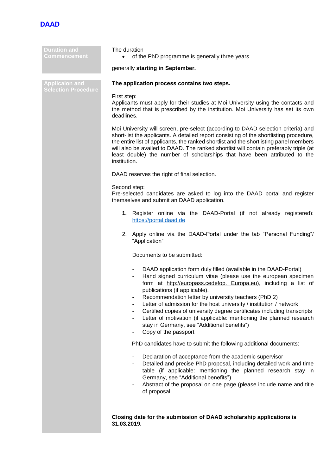

| <b>Duration and</b><br><b>Commencement</b>          | The duration<br>of the PhD programme is generally three years<br>$\bullet$                                                                                                                                                                                                                                                                                                                                                                                                                                                                                                                                       |  |
|-----------------------------------------------------|------------------------------------------------------------------------------------------------------------------------------------------------------------------------------------------------------------------------------------------------------------------------------------------------------------------------------------------------------------------------------------------------------------------------------------------------------------------------------------------------------------------------------------------------------------------------------------------------------------------|--|
|                                                     | generally starting in September.                                                                                                                                                                                                                                                                                                                                                                                                                                                                                                                                                                                 |  |
| <b>Applicaion and</b><br><b>Selection Procedure</b> | The application process contains two steps.                                                                                                                                                                                                                                                                                                                                                                                                                                                                                                                                                                      |  |
|                                                     | First step:<br>Applicants must apply for their studies at Moi University using the contacts and<br>the method that is prescribed by the institution. Moi University has set its own<br>deadlines.                                                                                                                                                                                                                                                                                                                                                                                                                |  |
|                                                     | Moi University will screen, pre-select (according to DAAD selection criteria) and<br>short-list the applicants. A detailed report consisting of the shortlisting procedure,<br>the entire list of applicants, the ranked shortlist and the shortlisting panel members<br>will also be availed to DAAD. The ranked shortlist will contain preferably triple (at<br>least double) the number of scholarships that have been attributed to the<br>institution.                                                                                                                                                      |  |
|                                                     | DAAD reserves the right of final selection.                                                                                                                                                                                                                                                                                                                                                                                                                                                                                                                                                                      |  |
|                                                     | Second step:<br>Pre-selected candidates are asked to log into the DAAD portal and register<br>themselves and submit an DAAD application.                                                                                                                                                                                                                                                                                                                                                                                                                                                                         |  |
|                                                     | 1. Register online via the DAAD-Portal (if not already registered):<br>https://portal.daad.de                                                                                                                                                                                                                                                                                                                                                                                                                                                                                                                    |  |
|                                                     | Apply online via the DAAD-Portal under the tab "Personal Funding"/<br>2.<br>"Application"                                                                                                                                                                                                                                                                                                                                                                                                                                                                                                                        |  |
|                                                     | Documents to be submitted:                                                                                                                                                                                                                                                                                                                                                                                                                                                                                                                                                                                       |  |
|                                                     | DAAD application form duly filled (available in the DAAD-Portal)<br>Hand signed curriculum vitae (please use the european specimen<br>form at http://europass.cedefop. Europa.eu), including a list of<br>publications (if applicable).<br>Recommendation letter by university teachers (PhD 2)<br>Letter of admission for the host university / institution / network<br>۰<br>Certified copies of university degree certificates including transcripts<br>٠<br>Letter of motivation (if applicable: mentioning the planned research<br>۰<br>stay in Germany, see "Additional benefits")<br>Copy of the passport |  |
|                                                     | PhD candidates have to submit the following additional documents:                                                                                                                                                                                                                                                                                                                                                                                                                                                                                                                                                |  |
|                                                     | Declaration of acceptance from the academic supervisor<br>$\overline{\phantom{m}}$<br>Detailed and precise PhD proposal, including detailed work and time<br>-<br>table (if applicable: mentioning the planned research stay in<br>Germany, see "Additional benefits")<br>Abstract of the proposal on one page (please include name and title<br>۰<br>of proposal                                                                                                                                                                                                                                                |  |
|                                                     | Closing date for the submission of DAAD scholarship applications is                                                                                                                                                                                                                                                                                                                                                                                                                                                                                                                                              |  |

**31.03.2019.**